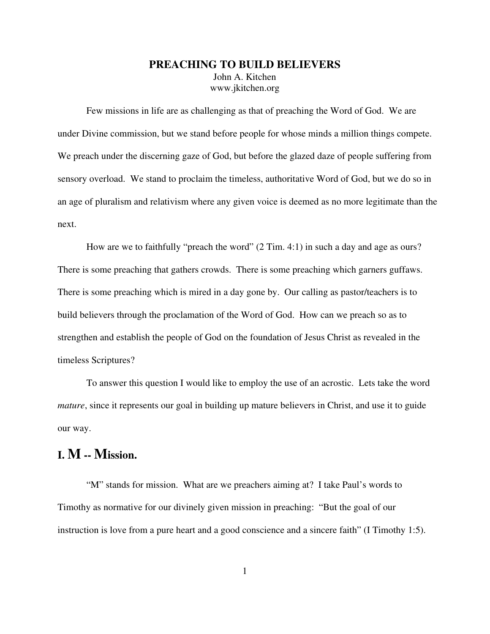#### **PREACHING TO BUILD BELIEVERS** John A. Kitchen www.jkitchen.org

Few missions in life are as challenging as that of preaching the Word of God. We are under Divine commission, but we stand before people for whose minds a million things compete. We preach under the discerning gaze of God, but before the glazed daze of people suffering from sensory overload. We stand to proclaim the timeless, authoritative Word of God, but we do so in an age of pluralism and relativism where any given voice is deemed as no more legitimate than the next.

How are we to faithfully "preach the word" (2 Tim. 4:1) in such a day and age as ours? There is some preaching that gathers crowds. There is some preaching which garners guffaws. There is some preaching which is mired in a day gone by. Our calling as pastor/teachers is to build believers through the proclamation of the Word of God. How can we preach so as to strengthen and establish the people of God on the foundation of Jesus Christ as revealed in the timeless Scriptures?

To answer this question I would like to employ the use of an acrostic. Lets take the word *mature*, since it represents our goal in building up mature believers in Christ, and use it to guide our way.

### **I. M -- Mission.**

"M" stands for mission. What are we preachers aiming at? I take Paul's words to Timothy as normative for our divinely given mission in preaching: "But the goal of our instruction is love from a pure heart and a good conscience and a sincere faith" (I Timothy 1:5).

1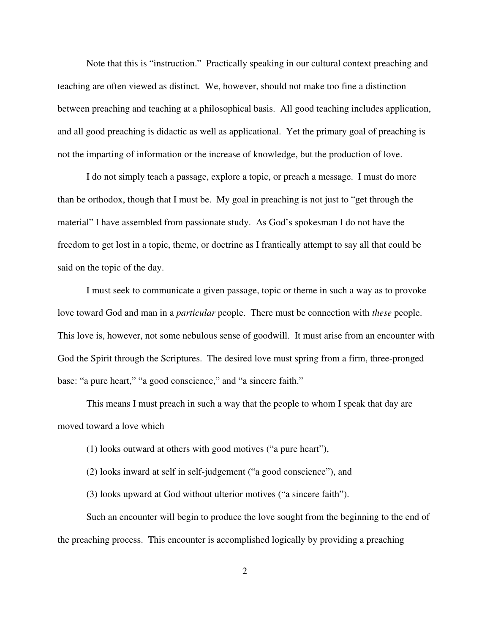Note that this is "instruction." Practically speaking in our cultural context preaching and teaching are often viewed as distinct. We, however, should not make too fine a distinction between preaching and teaching at a philosophical basis. All good teaching includes application, and all good preaching is didactic as well as applicational. Yet the primary goal of preaching is not the imparting of information or the increase of knowledge, but the production of love.

I do not simply teach a passage, explore a topic, or preach a message. I must do more than be orthodox, though that I must be. My goal in preaching is not just to "get through the material" I have assembled from passionate study. As God's spokesman I do not have the freedom to get lost in a topic, theme, or doctrine as I frantically attempt to say all that could be said on the topic of the day.

I must seek to communicate a given passage, topic or theme in such a way as to provoke love toward God and man in a *particular* people. There must be connection with *these* people. This love is, however, not some nebulous sense of goodwill. It must arise from an encounter with God the Spirit through the Scriptures. The desired love must spring from a firm, three-pronged base: "a pure heart," "a good conscience," and "a sincere faith."

This means I must preach in such a way that the people to whom I speak that day are moved toward a love which

(1) looks outward at others with good motives ("a pure heart"),

(2) looks inward at self in self-judgement ("a good conscience"), and

(3) looks upward at God without ulterior motives ("a sincere faith").

Such an encounter will begin to produce the love sought from the beginning to the end of the preaching process. This encounter is accomplished logically by providing a preaching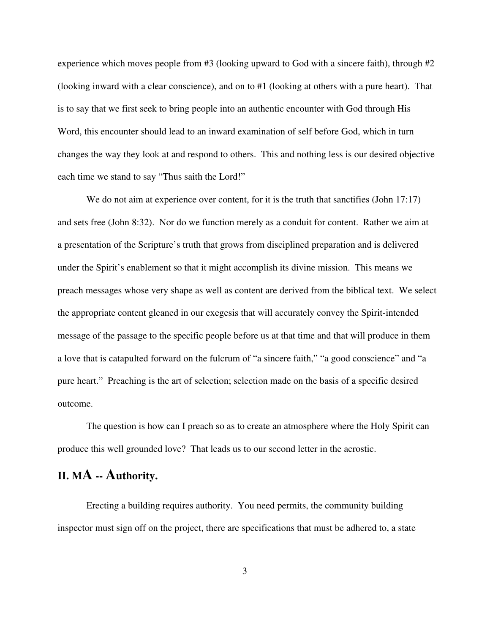experience which moves people from #3 (looking upward to God with a sincere faith), through #2 (looking inward with a clear conscience), and on to #1 (looking at others with a pure heart). That is to say that we first seek to bring people into an authentic encounter with God through His Word, this encounter should lead to an inward examination of self before God, which in turn changes the way they look at and respond to others. This and nothing less is our desired objective each time we stand to say "Thus saith the Lord!"

We do not aim at experience over content, for it is the truth that sanctifies (John 17:17) and sets free (John 8:32). Nor do we function merely as a conduit for content. Rather we aim at a presentation of the Scripture's truth that grows from disciplined preparation and is delivered under the Spirit's enablement so that it might accomplish its divine mission. This means we preach messages whose very shape as well as content are derived from the biblical text. We select the appropriate content gleaned in our exegesis that will accurately convey the Spirit-intended message of the passage to the specific people before us at that time and that will produce in them a love that is catapulted forward on the fulcrum of "a sincere faith," "a good conscience" and "a pure heart." Preaching is the art of selection; selection made on the basis of a specific desired outcome.

The question is how can I preach so as to create an atmosphere where the Holy Spirit can produce this well grounded love? That leads us to our second letter in the acrostic.

#### **II. MA -- Authority.**

Erecting a building requires authority. You need permits, the community building inspector must sign off on the project, there are specifications that must be adhered to, a state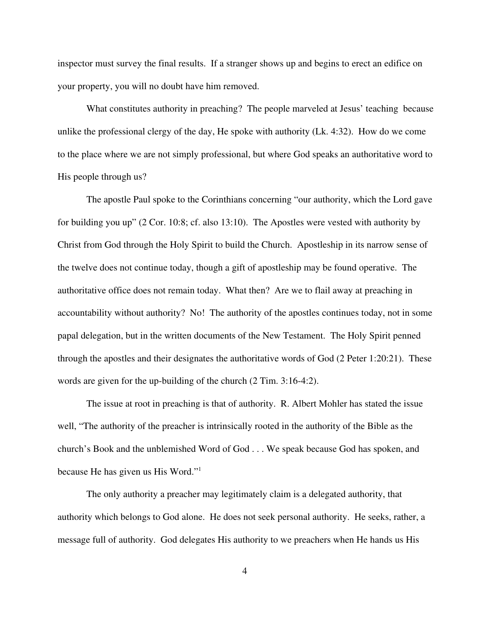inspector must survey the final results. If a stranger shows up and begins to erect an edifice on your property, you will no doubt have him removed.

What constitutes authority in preaching? The people marveled at Jesus' teaching because unlike the professional clergy of the day, He spoke with authority (Lk. 4:32). How do we come to the place where we are not simply professional, but where God speaks an authoritative word to His people through us?

The apostle Paul spoke to the Corinthians concerning "our authority, which the Lord gave for building you up" (2 Cor. 10:8; cf. also 13:10). The Apostles were vested with authority by Christ from God through the Holy Spirit to build the Church. Apostleship in its narrow sense of the twelve does not continue today, though a gift of apostleship may be found operative. The authoritative office does not remain today. What then? Are we to flail away at preaching in accountability without authority? No! The authority of the apostles continues today, not in some papal delegation, but in the written documents of the New Testament. The Holy Spirit penned through the apostles and their designates the authoritative words of God (2 Peter 1:20:21). These words are given for the up-building of the church (2 Tim. 3:16-4:2).

The issue at root in preaching is that of authority. R. Albert Mohler has stated the issue well, "The authority of the preacher is intrinsically rooted in the authority of the Bible as the church's Book and the unblemished Word of God . . . We speak because God has spoken, and because He has given us His Word."<sup>1</sup>

The only authority a preacher may legitimately claim is a delegated authority, that authority which belongs to God alone. He does not seek personal authority. He seeks, rather, a message full of authority. God delegates His authority to we preachers when He hands us His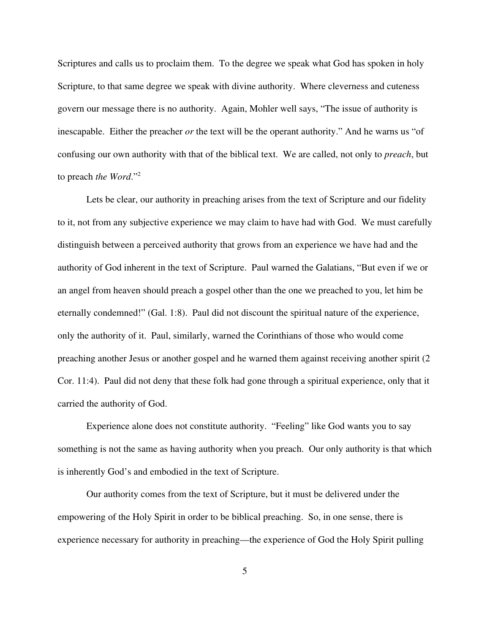Scriptures and calls us to proclaim them. To the degree we speak what God has spoken in holy Scripture, to that same degree we speak with divine authority. Where cleverness and cuteness govern our message there is no authority. Again, Mohler well says, "The issue of authority is inescapable. Either the preacher *or* the text will be the operant authority." And he warns us "of confusing our own authority with that of the biblical text. We are called, not only to *preach*, but to preach *the Word*."<sup>2</sup>

Lets be clear, our authority in preaching arises from the text of Scripture and our fidelity to it, not from any subjective experience we may claim to have had with God. We must carefully distinguish between a perceived authority that grows from an experience we have had and the authority of God inherent in the text of Scripture. Paul warned the Galatians, "But even if we or an angel from heaven should preach a gospel other than the one we preached to you, let him be eternally condemned!" (Gal. 1:8). Paul did not discount the spiritual nature of the experience, only the authority of it. Paul, similarly, warned the Corinthians of those who would come preaching another Jesus or another gospel and he warned them against receiving another spirit (2 Cor. 11:4). Paul did not deny that these folk had gone through a spiritual experience, only that it carried the authority of God.

Experience alone does not constitute authority. "Feeling" like God wants you to say something is not the same as having authority when you preach. Our only authority is that which is inherently God's and embodied in the text of Scripture.

Our authority comes from the text of Scripture, but it must be delivered under the empowering of the Holy Spirit in order to be biblical preaching. So, in one sense, there is experience necessary for authority in preaching—the experience of God the Holy Spirit pulling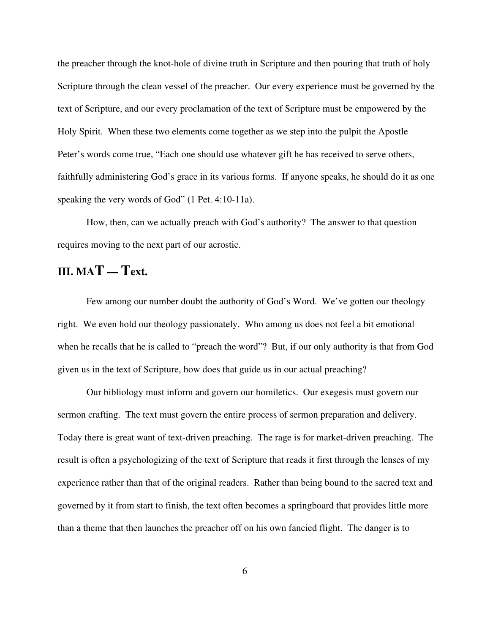the preacher through the knot-hole of divine truth in Scripture and then pouring that truth of holy Scripture through the clean vessel of the preacher. Our every experience must be governed by the text of Scripture, and our every proclamation of the text of Scripture must be empowered by the Holy Spirit. When these two elements come together as we step into the pulpit the Apostle Peter's words come true, "Each one should use whatever gift he has received to serve others, faithfully administering God's grace in its various forms. If anyone speaks, he should do it as one speaking the very words of God" (1 Pet. 4:10-11a).

How, then, can we actually preach with God's authority? The answer to that question requires moving to the next part of our acrostic.

#### **III.** MA**T** — **T**ext.

Few among our number doubt the authority of God's Word. We've gotten our theology right. We even hold our theology passionately. Who among us does not feel a bit emotional when he recalls that he is called to "preach the word"? But, if our only authority is that from God given us in the text of Scripture, how does that guide us in our actual preaching?

Our bibliology must inform and govern our homiletics. Our exegesis must govern our sermon crafting. The text must govern the entire process of sermon preparation and delivery. Today there is great want of text-driven preaching. The rage is for market-driven preaching. The result is often a psychologizing of the text of Scripture that reads it first through the lenses of my experience rather than that of the original readers. Rather than being bound to the sacred text and governed by it from start to finish, the text often becomes a springboard that provides little more than a theme that then launches the preacher off on his own fancied flight. The danger is to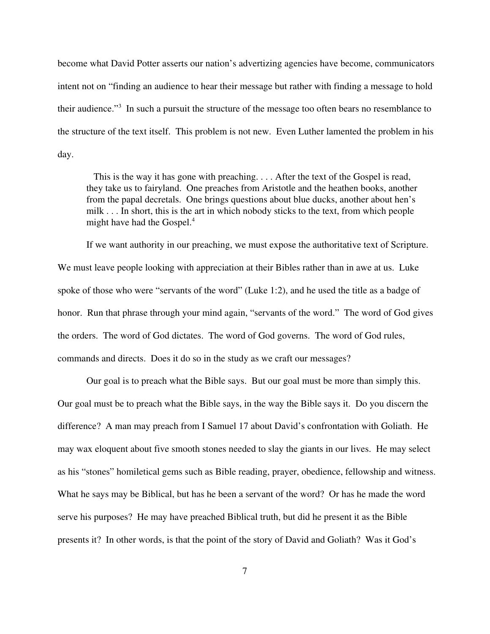become what David Potter asserts our nation's advertizing agencies have become, communicators intent not on "finding an audience to hear their message but rather with finding a message to hold their audience."<sup>3</sup> In such a pursuit the structure of the message too often bears no resemblance to the structure of the text itself. This problem is not new. Even Luther lamented the problem in his day.

 This is the way it has gone with preaching. . . . After the text of the Gospel is read, they take us to fairyland. One preaches from Aristotle and the heathen books, another from the papal decretals. One brings questions about blue ducks, another about hen's milk . . . In short, this is the art in which nobody sticks to the text, from which people might have had the Gospel.<sup>4</sup>

If we want authority in our preaching, we must expose the authoritative text of Scripture. We must leave people looking with appreciation at their Bibles rather than in awe at us. Luke spoke of those who were "servants of the word" (Luke 1:2), and he used the title as a badge of honor. Run that phrase through your mind again, "servants of the word." The word of God gives the orders. The word of God dictates. The word of God governs. The word of God rules, commands and directs. Does it do so in the study as we craft our messages?

Our goal is to preach what the Bible says. But our goal must be more than simply this. Our goal must be to preach what the Bible says, in the way the Bible says it. Do you discern the difference? A man may preach from I Samuel 17 about David's confrontation with Goliath. He may wax eloquent about five smooth stones needed to slay the giants in our lives. He may select as his "stones" homiletical gems such as Bible reading, prayer, obedience, fellowship and witness. What he says may be Biblical, but has he been a servant of the word? Or has he made the word serve his purposes? He may have preached Biblical truth, but did he present it as the Bible presents it? In other words, is that the point of the story of David and Goliath? Was it God's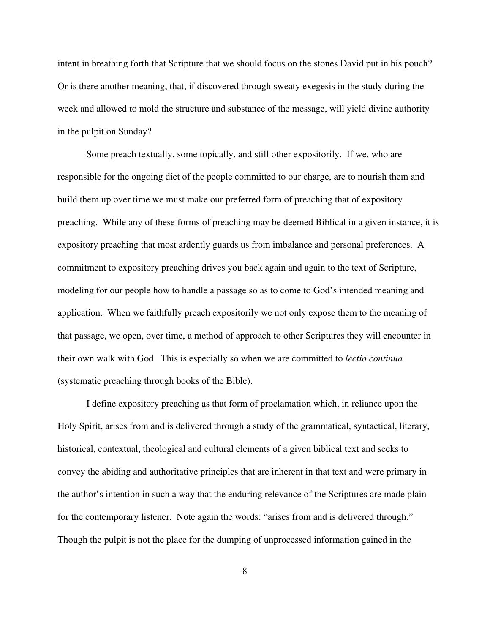intent in breathing forth that Scripture that we should focus on the stones David put in his pouch? Or is there another meaning, that, if discovered through sweaty exegesis in the study during the week and allowed to mold the structure and substance of the message, will yield divine authority in the pulpit on Sunday?

Some preach textually, some topically, and still other expositorily. If we, who are responsible for the ongoing diet of the people committed to our charge, are to nourish them and build them up over time we must make our preferred form of preaching that of expository preaching. While any of these forms of preaching may be deemed Biblical in a given instance, it is expository preaching that most ardently guards us from imbalance and personal preferences. A commitment to expository preaching drives you back again and again to the text of Scripture, modeling for our people how to handle a passage so as to come to God's intended meaning and application. When we faithfully preach expositorily we not only expose them to the meaning of that passage, we open, over time, a method of approach to other Scriptures they will encounter in their own walk with God. This is especially so when we are committed to *lectio continua* (systematic preaching through books of the Bible).

I define expository preaching as that form of proclamation which, in reliance upon the Holy Spirit, arises from and is delivered through a study of the grammatical, syntactical, literary, historical, contextual, theological and cultural elements of a given biblical text and seeks to convey the abiding and authoritative principles that are inherent in that text and were primary in the author's intention in such a way that the enduring relevance of the Scriptures are made plain for the contemporary listener. Note again the words: "arises from and is delivered through." Though the pulpit is not the place for the dumping of unprocessed information gained in the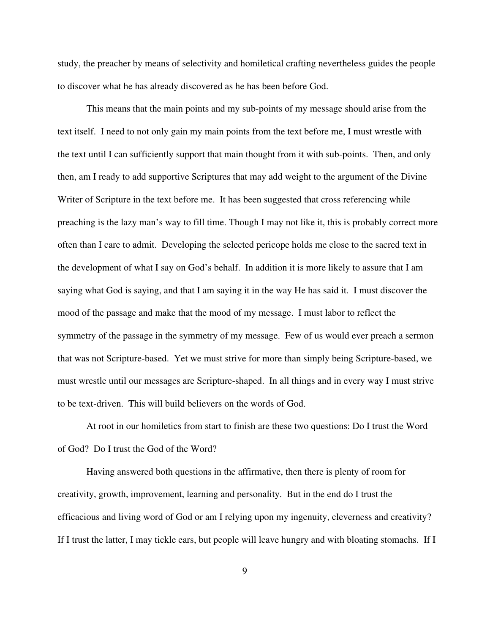study, the preacher by means of selectivity and homiletical crafting nevertheless guides the people to discover what he has already discovered as he has been before God.

This means that the main points and my sub-points of my message should arise from the text itself. I need to not only gain my main points from the text before me, I must wrestle with the text until I can sufficiently support that main thought from it with sub-points. Then, and only then, am I ready to add supportive Scriptures that may add weight to the argument of the Divine Writer of Scripture in the text before me. It has been suggested that cross referencing while preaching is the lazy man's way to fill time. Though I may not like it, this is probably correct more often than I care to admit. Developing the selected pericope holds me close to the sacred text in the development of what I say on God's behalf. In addition it is more likely to assure that I am saying what God is saying, and that I am saying it in the way He has said it. I must discover the mood of the passage and make that the mood of my message. I must labor to reflect the symmetry of the passage in the symmetry of my message. Few of us would ever preach a sermon that was not Scripture-based. Yet we must strive for more than simply being Scripture-based, we must wrestle until our messages are Scripture-shaped. In all things and in every way I must strive to be text-driven. This will build believers on the words of God.

At root in our homiletics from start to finish are these two questions: Do I trust the Word of God? Do I trust the God of the Word?

Having answered both questions in the affirmative, then there is plenty of room for creativity, growth, improvement, learning and personality. But in the end do I trust the efficacious and living word of God or am I relying upon my ingenuity, cleverness and creativity? If I trust the latter, I may tickle ears, but people will leave hungry and with bloating stomachs. If I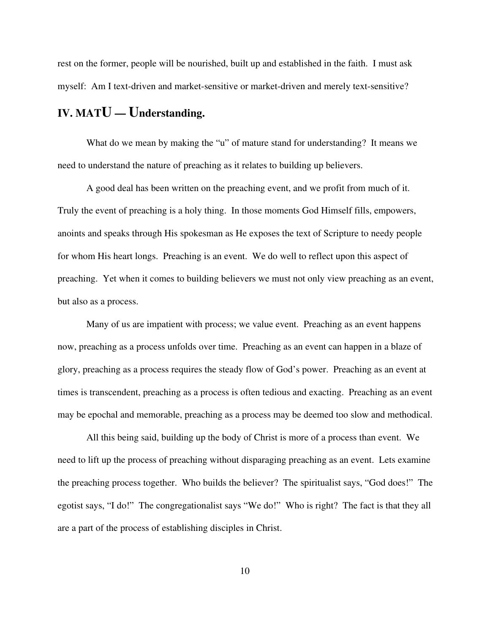rest on the former, people will be nourished, built up and established in the faith. I must ask myself: Am I text-driven and market-sensitive or market-driven and merely text-sensitive?

# **IV. MATU — Understanding.**

What do we mean by making the "u" of mature stand for understanding? It means we need to understand the nature of preaching as it relates to building up believers.

A good deal has been written on the preaching event, and we profit from much of it. Truly the event of preaching is a holy thing. In those moments God Himself fills, empowers, anoints and speaks through His spokesman as He exposes the text of Scripture to needy people for whom His heart longs. Preaching is an event. We do well to reflect upon this aspect of preaching. Yet when it comes to building believers we must not only view preaching as an event, but also as a process.

Many of us are impatient with process; we value event. Preaching as an event happens now, preaching as a process unfolds over time. Preaching as an event can happen in a blaze of glory, preaching as a process requires the steady flow of God's power. Preaching as an event at times is transcendent, preaching as a process is often tedious and exacting. Preaching as an event may be epochal and memorable, preaching as a process may be deemed too slow and methodical.

All this being said, building up the body of Christ is more of a process than event. We need to lift up the process of preaching without disparaging preaching as an event. Lets examine the preaching process together. Who builds the believer? The spiritualist says, "God does!" The egotist says, "I do!" The congregationalist says "We do!" Who is right? The fact is that they all are a part of the process of establishing disciples in Christ.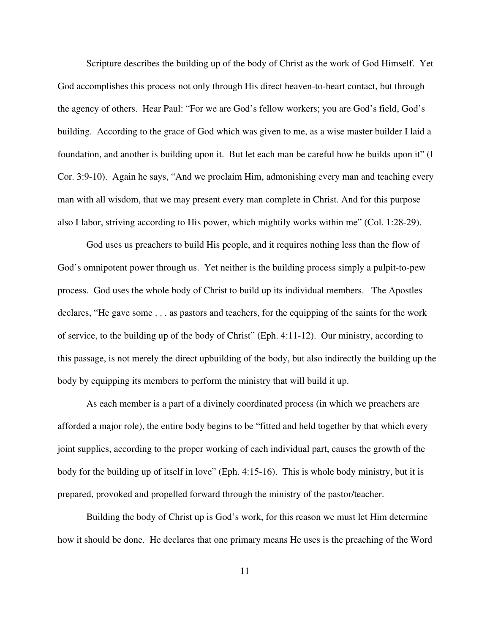Scripture describes the building up of the body of Christ as the work of God Himself. Yet God accomplishes this process not only through His direct heaven-to-heart contact, but through the agency of others. Hear Paul: "For we are God's fellow workers; you are God's field, God's building. According to the grace of God which was given to me, as a wise master builder I laid a foundation, and another is building upon it. But let each man be careful how he builds upon it" (I Cor. 3:9-10). Again he says, "And we proclaim Him, admonishing every man and teaching every man with all wisdom, that we may present every man complete in Christ. And for this purpose also I labor, striving according to His power, which mightily works within me" (Col. 1:28-29).

God uses us preachers to build His people, and it requires nothing less than the flow of God's omnipotent power through us. Yet neither is the building process simply a pulpit-to-pew process. God uses the whole body of Christ to build up its individual members. The Apostles declares, "He gave some . . . as pastors and teachers, for the equipping of the saints for the work of service, to the building up of the body of Christ" (Eph. 4:11-12). Our ministry, according to this passage, is not merely the direct upbuilding of the body, but also indirectly the building up the body by equipping its members to perform the ministry that will build it up.

As each member is a part of a divinely coordinated process (in which we preachers are afforded a major role), the entire body begins to be "fitted and held together by that which every joint supplies, according to the proper working of each individual part, causes the growth of the body for the building up of itself in love" (Eph. 4:15-16). This is whole body ministry, but it is prepared, provoked and propelled forward through the ministry of the pastor/teacher.

Building the body of Christ up is God's work, for this reason we must let Him determine how it should be done. He declares that one primary means He uses is the preaching of the Word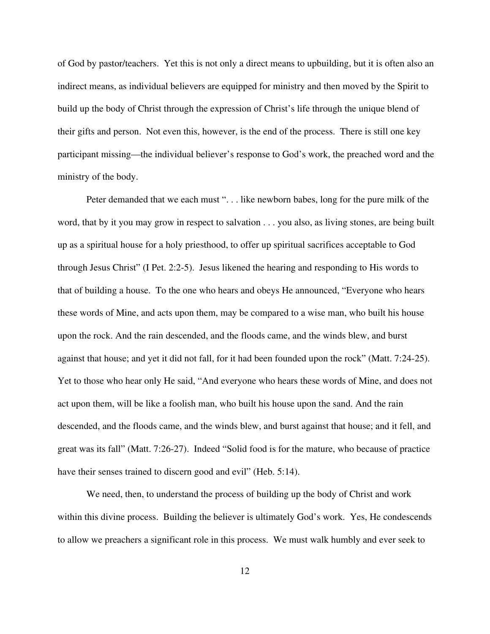of God by pastor/teachers. Yet this is not only a direct means to upbuilding, but it is often also an indirect means, as individual believers are equipped for ministry and then moved by the Spirit to build up the body of Christ through the expression of Christ's life through the unique blend of their gifts and person. Not even this, however, is the end of the process. There is still one key participant missing—the individual believer's response to God's work, the preached word and the ministry of the body.

Peter demanded that we each must "... like newborn babes, long for the pure milk of the word, that by it you may grow in respect to salvation . . . you also, as living stones, are being built up as a spiritual house for a holy priesthood, to offer up spiritual sacrifices acceptable to God through Jesus Christ" (I Pet. 2:2-5). Jesus likened the hearing and responding to His words to that of building a house. To the one who hears and obeys He announced, "Everyone who hears these words of Mine, and acts upon them, may be compared to a wise man, who built his house upon the rock. And the rain descended, and the floods came, and the winds blew, and burst against that house; and yet it did not fall, for it had been founded upon the rock" (Matt. 7:24-25). Yet to those who hear only He said, "And everyone who hears these words of Mine, and does not act upon them, will be like a foolish man, who built his house upon the sand. And the rain descended, and the floods came, and the winds blew, and burst against that house; and it fell, and great was its fall" (Matt. 7:26-27). Indeed "Solid food is for the mature, who because of practice have their senses trained to discern good and evil" (Heb. 5:14).

We need, then, to understand the process of building up the body of Christ and work within this divine process. Building the believer is ultimately God's work. Yes, He condescends to allow we preachers a significant role in this process. We must walk humbly and ever seek to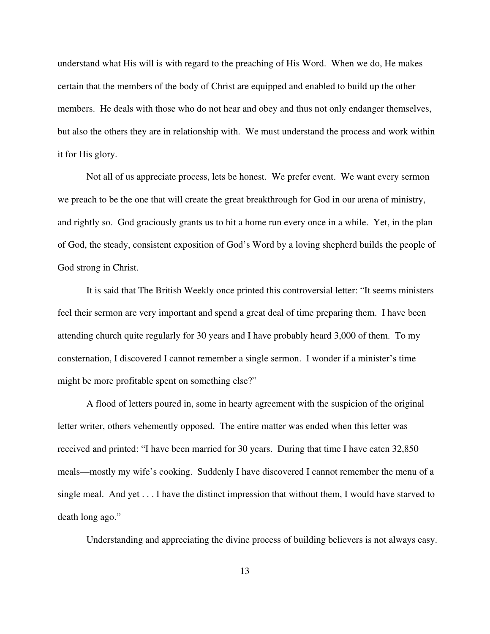understand what His will is with regard to the preaching of His Word. When we do, He makes certain that the members of the body of Christ are equipped and enabled to build up the other members. He deals with those who do not hear and obey and thus not only endanger themselves, but also the others they are in relationship with. We must understand the process and work within it for His glory.

Not all of us appreciate process, lets be honest. We prefer event. We want every sermon we preach to be the one that will create the great breakthrough for God in our arena of ministry, and rightly so. God graciously grants us to hit a home run every once in a while. Yet, in the plan of God, the steady, consistent exposition of God's Word by a loving shepherd builds the people of God strong in Christ.

It is said that The British Weekly once printed this controversial letter: "It seems ministers feel their sermon are very important and spend a great deal of time preparing them. I have been attending church quite regularly for 30 years and I have probably heard 3,000 of them. To my consternation, I discovered I cannot remember a single sermon. I wonder if a minister's time might be more profitable spent on something else?"

A flood of letters poured in, some in hearty agreement with the suspicion of the original letter writer, others vehemently opposed. The entire matter was ended when this letter was received and printed: "I have been married for 30 years. During that time I have eaten 32,850 meals—mostly my wife's cooking. Suddenly I have discovered I cannot remember the menu of a single meal. And yet . . . I have the distinct impression that without them, I would have starved to death long ago."

Understanding and appreciating the divine process of building believers is not always easy.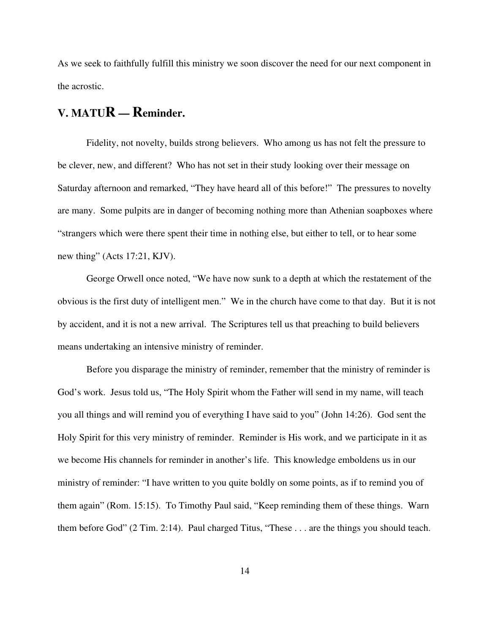As we seek to faithfully fulfill this ministry we soon discover the need for our next component in the acrostic.

# **V. MATUR — Reminder.**

Fidelity, not novelty, builds strong believers. Who among us has not felt the pressure to be clever, new, and different? Who has not set in their study looking over their message on Saturday afternoon and remarked, "They have heard all of this before!" The pressures to novelty are many. Some pulpits are in danger of becoming nothing more than Athenian soapboxes where "strangers which were there spent their time in nothing else, but either to tell, or to hear some new thing" (Acts 17:21, KJV).

George Orwell once noted, "We have now sunk to a depth at which the restatement of the obvious is the first duty of intelligent men." We in the church have come to that day. But it is not by accident, and it is not a new arrival. The Scriptures tell us that preaching to build believers means undertaking an intensive ministry of reminder.

Before you disparage the ministry of reminder, remember that the ministry of reminder is God's work. Jesus told us, "The Holy Spirit whom the Father will send in my name, will teach you all things and will remind you of everything I have said to you" (John 14:26). God sent the Holy Spirit for this very ministry of reminder. Reminder is His work, and we participate in it as we become His channels for reminder in another's life. This knowledge emboldens us in our ministry of reminder: "I have written to you quite boldly on some points, as if to remind you of them again" (Rom. 15:15). To Timothy Paul said, "Keep reminding them of these things. Warn them before God" (2 Tim. 2:14). Paul charged Titus, "These . . . are the things you should teach.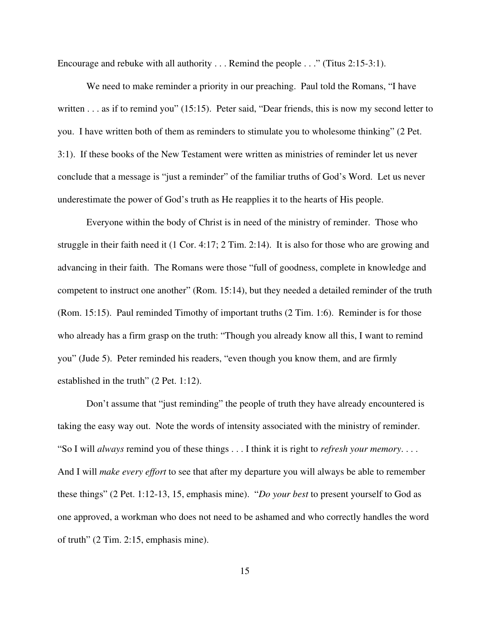Encourage and rebuke with all authority . . . Remind the people . . ." (Titus 2:15-3:1).

We need to make reminder a priority in our preaching. Paul told the Romans, "I have written . . . as if to remind you" (15:15). Peter said, "Dear friends, this is now my second letter to you. I have written both of them as reminders to stimulate you to wholesome thinking" (2 Pet. 3:1). If these books of the New Testament were written as ministries of reminder let us never conclude that a message is "just a reminder" of the familiar truths of God's Word. Let us never underestimate the power of God's truth as He reapplies it to the hearts of His people.

Everyone within the body of Christ is in need of the ministry of reminder. Those who struggle in their faith need it (1 Cor. 4:17; 2 Tim. 2:14). It is also for those who are growing and advancing in their faith. The Romans were those "full of goodness, complete in knowledge and competent to instruct one another" (Rom. 15:14), but they needed a detailed reminder of the truth (Rom. 15:15). Paul reminded Timothy of important truths (2 Tim. 1:6). Reminder is for those who already has a firm grasp on the truth: "Though you already know all this, I want to remind you" (Jude 5). Peter reminded his readers, "even though you know them, and are firmly established in the truth" (2 Pet. 1:12).

Don't assume that "just reminding" the people of truth they have already encountered is taking the easy way out. Note the words of intensity associated with the ministry of reminder. "So I will *always* remind you of these things . . . I think it is right to *refresh your memory*. . . . And I will *make every effort* to see that after my departure you will always be able to remember these things" (2 Pet. 1:12-13, 15, emphasis mine). "*Do your best* to present yourself to God as one approved, a workman who does not need to be ashamed and who correctly handles the word of truth" (2 Tim. 2:15, emphasis mine).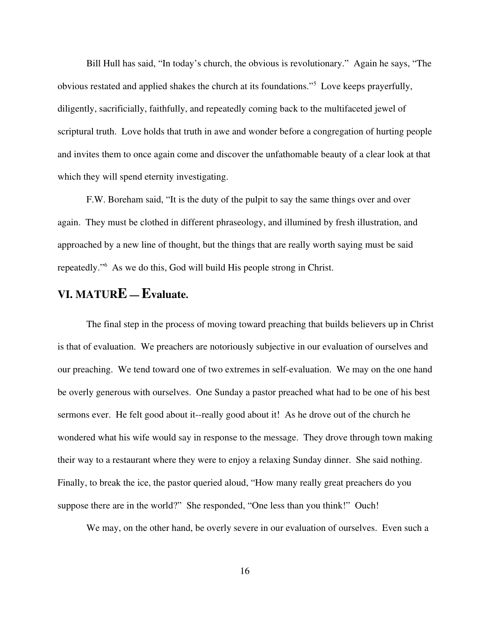Bill Hull has said, "In today's church, the obvious is revolutionary." Again he says, "The obvious restated and applied shakes the church at its foundations."<sup>5</sup> Love keeps prayerfully, diligently, sacrificially, faithfully, and repeatedly coming back to the multifaceted jewel of scriptural truth. Love holds that truth in awe and wonder before a congregation of hurting people and invites them to once again come and discover the unfathomable beauty of a clear look at that which they will spend eternity investigating.

F.W. Boreham said, "It is the duty of the pulpit to say the same things over and over again. They must be clothed in different phraseology, and illumined by fresh illustration, and approached by a new line of thought, but the things that are really worth saying must be said repeatedly."<sup>6</sup> As we do this, God will build His people strong in Christ.

## **VI. MATURE — Evaluate.**

The final step in the process of moving toward preaching that builds believers up in Christ is that of evaluation. We preachers are notoriously subjective in our evaluation of ourselves and our preaching. We tend toward one of two extremes in self-evaluation. We may on the one hand be overly generous with ourselves. One Sunday a pastor preached what had to be one of his best sermons ever. He felt good about it--really good about it! As he drove out of the church he wondered what his wife would say in response to the message. They drove through town making their way to a restaurant where they were to enjoy a relaxing Sunday dinner. She said nothing. Finally, to break the ice, the pastor queried aloud, "How many really great preachers do you suppose there are in the world?" She responded, "One less than you think!" Ouch!

We may, on the other hand, be overly severe in our evaluation of ourselves. Even such a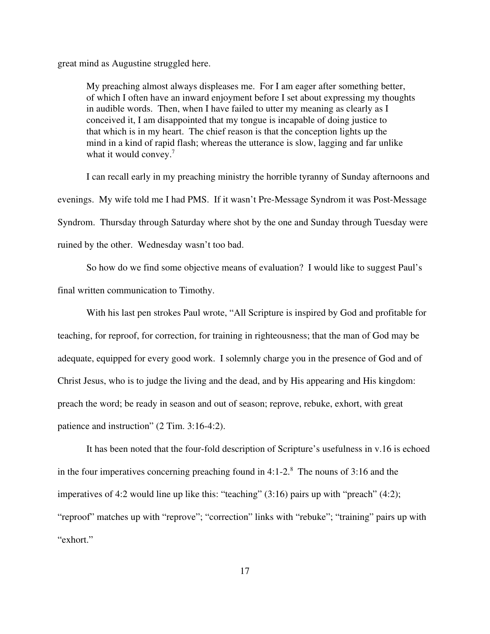great mind as Augustine struggled here.

My preaching almost always displeases me. For I am eager after something better, of which I often have an inward enjoyment before I set about expressing my thoughts in audible words. Then, when I have failed to utter my meaning as clearly as I conceived it, I am disappointed that my tongue is incapable of doing justice to that which is in my heart. The chief reason is that the conception lights up the mind in a kind of rapid flash; whereas the utterance is slow, lagging and far unlike what it would convey.<sup>7</sup>

I can recall early in my preaching ministry the horrible tyranny of Sunday afternoons and evenings. My wife told me I had PMS. If it wasn't Pre-Message Syndrom it was Post-Message Syndrom. Thursday through Saturday where shot by the one and Sunday through Tuesday were ruined by the other. Wednesday wasn't too bad.

So how do we find some objective means of evaluation? I would like to suggest Paul's final written communication to Timothy.

With his last pen strokes Paul wrote, "All Scripture is inspired by God and profitable for teaching, for reproof, for correction, for training in righteousness; that the man of God may be adequate, equipped for every good work. I solemnly charge you in the presence of God and of Christ Jesus, who is to judge the living and the dead, and by His appearing and His kingdom: preach the word; be ready in season and out of season; reprove, rebuke, exhort, with great patience and instruction" (2 Tim. 3:16-4:2).

It has been noted that the four-fold description of Scripture's usefulness in v.16 is echoed in the four imperatives concerning preaching found in  $4:1-2.8$  The nouns of 3:16 and the imperatives of 4:2 would line up like this: "teaching" (3:16) pairs up with "preach" (4:2); "reproof" matches up with "reprove"; "correction" links with "rebuke"; "training" pairs up with "exhort."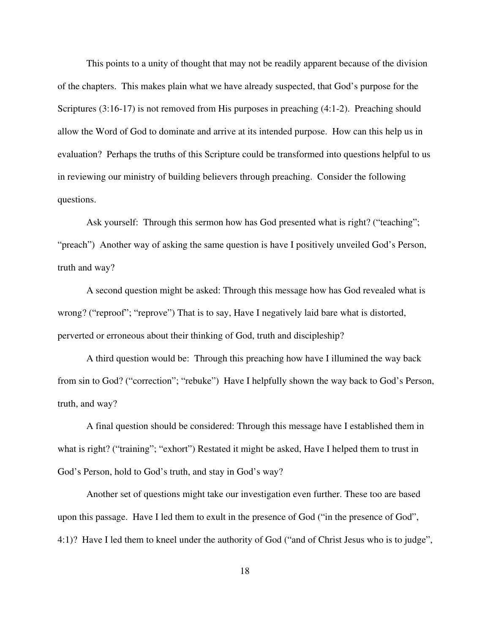This points to a unity of thought that may not be readily apparent because of the division of the chapters. This makes plain what we have already suspected, that God's purpose for the Scriptures (3:16-17) is not removed from His purposes in preaching (4:1-2). Preaching should allow the Word of God to dominate and arrive at its intended purpose. How can this help us in evaluation? Perhaps the truths of this Scripture could be transformed into questions helpful to us in reviewing our ministry of building believers through preaching. Consider the following questions.

Ask yourself: Through this sermon how has God presented what is right? ("teaching"; "preach") Another way of asking the same question is have I positively unveiled God's Person, truth and way?

A second question might be asked: Through this message how has God revealed what is wrong? ("reproof"; "reprove") That is to say, Have I negatively laid bare what is distorted, perverted or erroneous about their thinking of God, truth and discipleship?

A third question would be: Through this preaching how have I illumined the way back from sin to God? ("correction"; "rebuke") Have I helpfully shown the way back to God's Person, truth, and way?

A final question should be considered: Through this message have I established them in what is right? ("training"; "exhort") Restated it might be asked, Have I helped them to trust in God's Person, hold to God's truth, and stay in God's way?

Another set of questions might take our investigation even further. These too are based upon this passage. Have I led them to exult in the presence of God ("in the presence of God", 4:1)? Have I led them to kneel under the authority of God ("and of Christ Jesus who is to judge",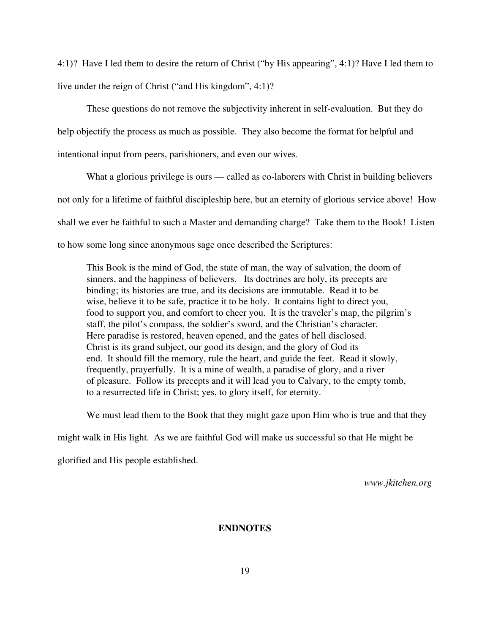4:1)? Have I led them to desire the return of Christ ("by His appearing", 4:1)? Have I led them to live under the reign of Christ ("and His kingdom", 4:1)?

These questions do not remove the subjectivity inherent in self-evaluation. But they do help objectify the process as much as possible. They also become the format for helpful and intentional input from peers, parishioners, and even our wives.

What a glorious privilege is ours — called as co-laborers with Christ in building believers not only for a lifetime of faithful discipleship here, but an eternity of glorious service above! How shall we ever be faithful to such a Master and demanding charge? Take them to the Book! Listen to how some long since anonymous sage once described the Scriptures:

This Book is the mind of God, the state of man, the way of salvation, the doom of sinners, and the happiness of believers. Its doctrines are holy, its precepts are binding; its histories are true, and its decisions are immutable. Read it to be wise, believe it to be safe, practice it to be holy. It contains light to direct you, food to support you, and comfort to cheer you. It is the traveler's map, the pilgrim's staff, the pilot's compass, the soldier's sword, and the Christian's character. Here paradise is restored, heaven opened, and the gates of hell disclosed. Christ is its grand subject, our good its design, and the glory of God its end. It should fill the memory, rule the heart, and guide the feet. Read it slowly, frequently, prayerfully. It is a mine of wealth, a paradise of glory, and a river of pleasure. Follow its precepts and it will lead you to Calvary, to the empty tomb, to a resurrected life in Christ; yes, to glory itself, for eternity.

We must lead them to the Book that they might gaze upon Him who is true and that they

might walk in His light. As we are faithful God will make us successful so that He might be

glorified and His people established.

*www.jkitchen.org*

#### **ENDNOTES**